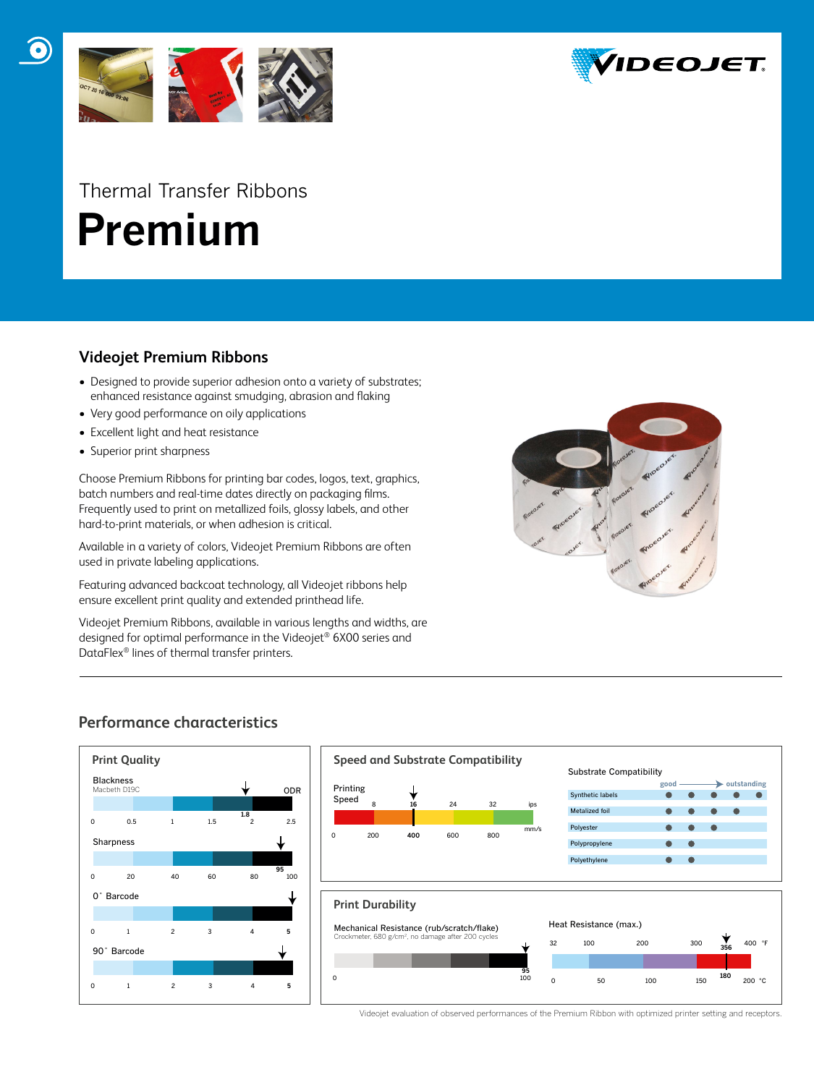



# Thermal Transfer Ribbons  **Premium**

#### **Videojet Premium Ribbons**

- Designed to provide superior adhesion onto a variety of substrates; enhanced resistance against smudging, abrasion and flaking
- Very good performance on oily applications
- Excellent light and heat resistance
- Superior print sharpness

Choose Premium Ribbons for printing bar codes, logos, text, graphics, batch numbers and real-time dates directly on packaging films. Frequently used to print on metallized foils, glossy labels, and other hard-to-print materials, or when adhesion is critical.

Available in a variety of colors, Videojet Premium Ribbons are often used in private labeling applications.

Featuring advanced backcoat technology, all Videojet ribbons help ensure excellent print quality and extended printhead life.

Videojet Premium Ribbons, available in various lengths and widths, are designed for optimal performance in the Videojet® 6X00 series and DataFlex® lines of thermal transfer printers.



#### **Performance characteristics**



Videojet evaluation of observed performances of the Premium Ribbon with optimized printer setting and receptors.